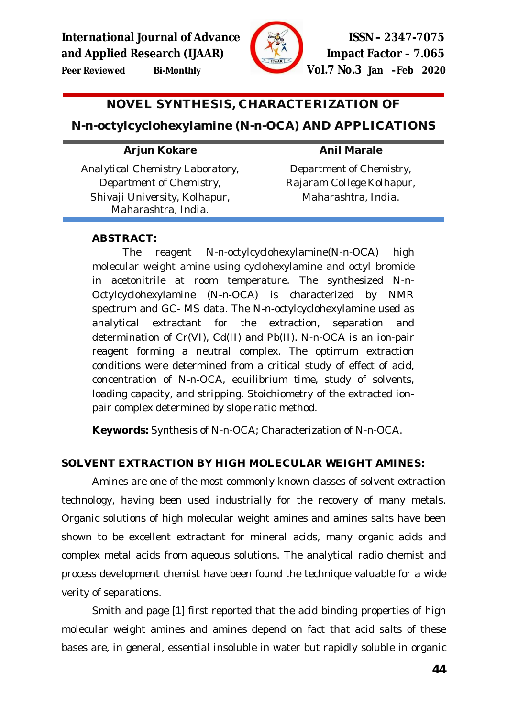



**Peer Reviewed Bi-Monthly Vol.7 No.3 Jan –Feb 2020**

# **NOVEL SYNTHESIS, CHARACTERIZATION OF**

# **N-***n***-octylcyclohexylamine (N-***n***-OCA) AND APPLICATIONS**

### **Arjun Kokare**

### **Anil Marale**

*Analytical Chemistry Laboratory, Department of Chemistry, Shivaji University, Kolhapur, Maharashtra, India.*

*Department of Chemistry, Rajaram College Kolhapur, Maharashtra, India.*

### **ABSTRACT:**

The reagent N-*n*-octylcyclohexylamine(N-*n*-OCA) high molecular weight amine using cyclohexylamine and octyl bromide in acetonitrile at room temperature. The synthesized N-*n*-Octylcyclohexylamine (N-*n*-OCA) is characterized by NMR spectrum and GC- MS data. The N-*n*-octylcyclohexylamine used as analytical extractant for the extraction, separation and determination of Cr(VI), Cd(II) and Pb(II). N-*n*-OCA is an ion-pair reagent forming a neutral complex. The optimum extraction conditions were determined from a critical study of effect of acid, concentration of N-*n*-OCA, equilibrium time, study of solvents, loading capacity, and stripping. Stoichiometry of the extracted ionpair complex determined by slope ratio method.

**Keywords:** Synthesis of N-*n*-OCA; Characterization of N-*n*-OCA.

### **SOLVENT EXTRACTION BY HIGH MOLECULAR WEIGHT AMINES:**

Amines are one of the most commonly known classes of solvent extraction technology, having been used industrially for the recovery of many metals. Organic solutions of high molecular weight amines and amines salts have been shown to be excellent extractant for mineral acids, many organic acids and complex metal acids from aqueous solutions. The analytical radio chemist and process development chemist have been found the technique valuable for a wide verity of separations.

Smith and page [1] first reported that the acid binding properties of high molecular weight amines and amines depend on fact that acid salts of these bases are, in general, essential insoluble in water but rapidly soluble in organic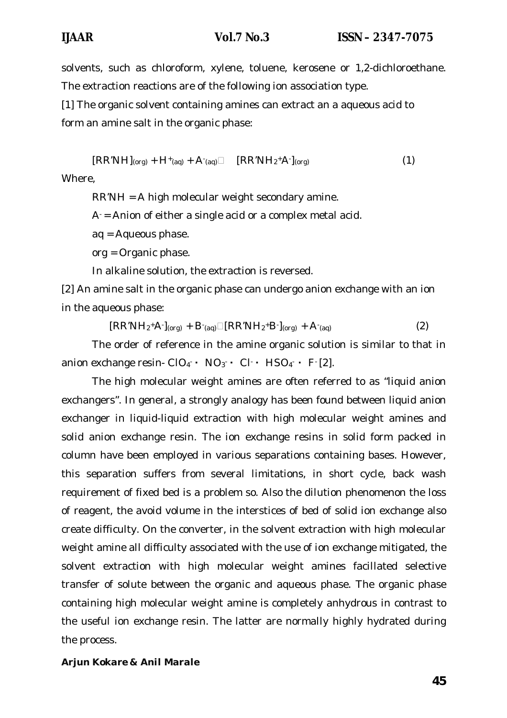solvents, such as chloroform, xylene, toluene, kerosene or 1,2-dichloroethane. The extraction reactions are of the following ion association type.

[1] The organic solvent containing amines can extract an a aqueous acid to form an amine salt in the organic phase:

 $[RR'NH]_{(org)} + H^+_{(aq)} + A^-_{(aq)} \square$   $[RR'NH_2^+A^-]_{(org)}$  (1) Where,

RR'NH = A high molecular weight secondary amine.

 $A =$  Anion of either a single acid or a complex metal acid.

aq = Aqueous phase.

org = Organic phase.

In alkaline solution, the extraction is reversed.

[2] An amine salt in the organic phase can undergo anion exchange with an ion in the aqueous phase:

 $[RR'NH_2^+A']_{(org)} + B'_{(aq)}\square[RR'NH_2^+B']_{(org)} + A'_{(aq)}$  (2)

The order of reference in the amine organic solution is similar to that in anion exchange resin-  $CIO_4$  •  $NO_3$  •  $Cl$  •  $HSO_4$  • F [2].

The high molecular weight amines are often referred to as "liquid anion exchangers". In general, a strongly analogy has been found between liquid anion exchanger in liquid-liquid extraction with high molecular weight amines and solid anion exchange resin. The ion exchange resins in solid form packed in column have been employed in various separations containing bases. However, this separation suffers from several limitations, in short cycle, back wash requirement of fixed bed is a problem so. Also the dilution phenomenon the loss of reagent, the avoid volume in the interstices of bed of solid ion exchange also create difficulty. On the converter, in the solvent extraction with high molecular weight amine all difficulty associated with the use of ion exchange mitigated, the solvent extraction with high molecular weight amines facillated selective transfer of solute between the organic and aqueous phase. The organic phase containing high molecular weight amine is completely anhydrous in contrast to the useful ion exchange resin. The latter are normally highly hydrated during the process.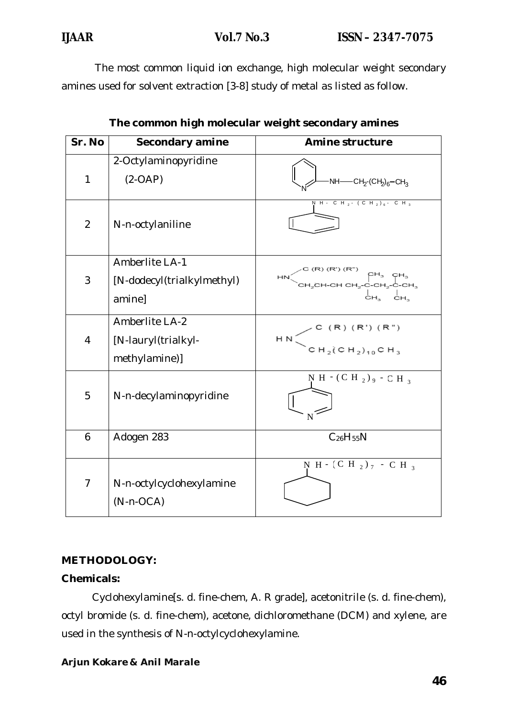The most common liquid ion exchange, high molecular weight secondary amines used for solvent extraction [3-8] study of metal as listed as follow.

| Sr. No         | Secondary amine                                        | <b>Amine structure</b>                                                                    |  |  |
|----------------|--------------------------------------------------------|-------------------------------------------------------------------------------------------|--|--|
| 1              | 2-Octylaminopyridine<br>$(2-OAP)$                      | $-NH$ —C $H_2$ -(C $H_2$ ) <sub>6</sub> —C $H_3$                                          |  |  |
| $\overline{2}$ | N-n-octylaniline                                       | $\overline{N}$ H - C H <sub>2</sub> - (C H <sub>2</sub> ) <sub>6</sub> - C H <sub>3</sub> |  |  |
| 3              | Amberlite LA-1<br>[N-dodecyl(trialkylmethyl)<br>amine] | $CH_2CH-CHCH_2-C-CH_2-C-H_3$<br>CH3 CH3                                                   |  |  |
| 4              | Amberlite LA-2<br>[N-lauryl(trialkyl-<br>methylamine)] | C (R) (R') (R")<br>H <sub>N</sub><br>$CH_2(CH_2)_{10}CH_3$                                |  |  |
| 5              | N-n-decylaminopyridine                                 | N H $\cdot$ (C H $_2$ ) $\cdot$ - C H $_3$                                                |  |  |
| 6              | Adogen 283                                             | $C_{26}H_{55}N$                                                                           |  |  |
| $\overline{7}$ | N-n-octylcyclohexylamine<br>$(N - n-CCA)$              | N H - $(CH_2)_7$ - C H <sub>3</sub>                                                       |  |  |

| The common high molecular weight secondary amines |  |  |
|---------------------------------------------------|--|--|
|---------------------------------------------------|--|--|

### **METHODOLOGY:**

#### **Chemicals:**

Cyclohexylamine[s. d. fine-chem, A. R grade], acetonitrile (s. d. fine-chem), octyl bromide (s. d. fine-chem), acetone, dichloromethane (DCM) and xylene, are used in the synthesis of N-*n-*octylcyclohexylamine.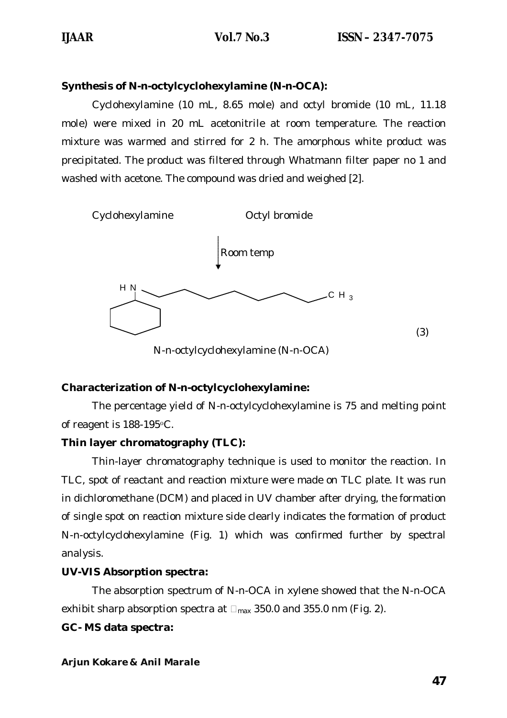### **Synthesis of N-***n***-octylcyclohexylamine (N-***n***-OCA):**

Cyclohexylamine (10 mL, 8.65 mole) and octyl bromide (10 mL, 11.18 mole) were mixed in 20 mL acetonitrile at room temperature. The reaction mixture was warmed and stirred for 2 h. The amorphous white product was precipitated. The product was filtered through Whatmann filter paper no 1 and washed with acetone. The compound was dried and weighed [2].



N-*n-*octylcyclohexylamine (N-*n*-OCA)

### **Characterization of N-***n-***octylcyclohexylamine:**

The percentage yield of N-*n-*octylcyclohexylamine is 75 and melting point of reagent is 188-195οC.

### **Thin layer chromatography (TLC):**

Thin-layer chromatography technique is used to monitor the reaction. In TLC, spot of reactant and reaction mixture were made on TLC plate. It was run in dichloromethane (DCM) and placed in UV chamber after drying, the formation of single spot on reaction mixture side clearly indicates the formation of product N-*n-*octylcyclohexylamine (Fig. 1) which was confirmed further by spectral analysis.

### **UV-VIS Absorption spectra:**

The absorption spectrum of N-*n*-OCA in xylene showed that the N-*n*-OCA exhibit sharp absorption spectra at  $\Box_{\text{max}}$  350.0 and 355.0 nm (Fig. 2).

#### **GC- MS data spectra:**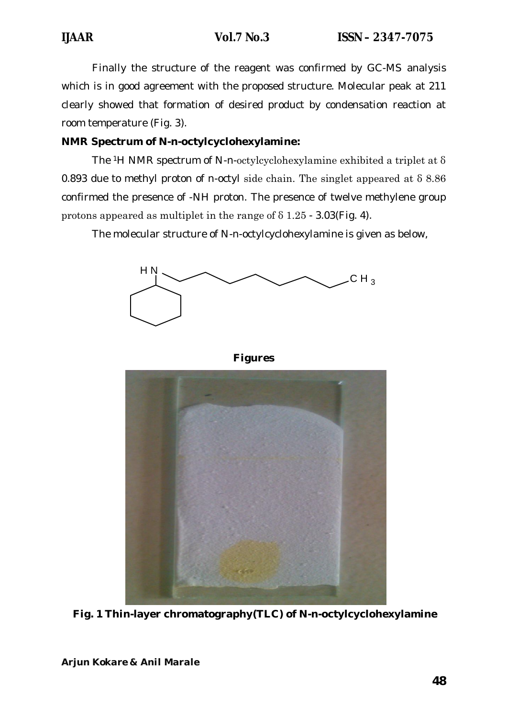Finally the structure of the reagent was confirmed by GC-MS analysis which is in good agreement with the proposed structure. Molecular peak at 211 clearly showed that formation of desired product by condensation reaction at room temperature (Fig. 3).

### **NMR Spectrum of N-***n-***octylcyclohexylamine:**

The 1H NMR spectrum of N-*n*-octylcyclohexylamine exhibited a triplet at δ 0.893 due to methyl proton of n-octyl side chain. The singlet appeared at δ 8.86 confirmed the presence of -NH proton. The presence of twelve methylene group protons appeared as multiplet in the range of δ 1.25 - 3.03(Fig. 4).

The molecular structure of N-*n-*octylcyclohexylamine is given as below,





**Fig. 1 Thin-layer chromatography(TLC) of N-***n-***octylcyclohexylamine**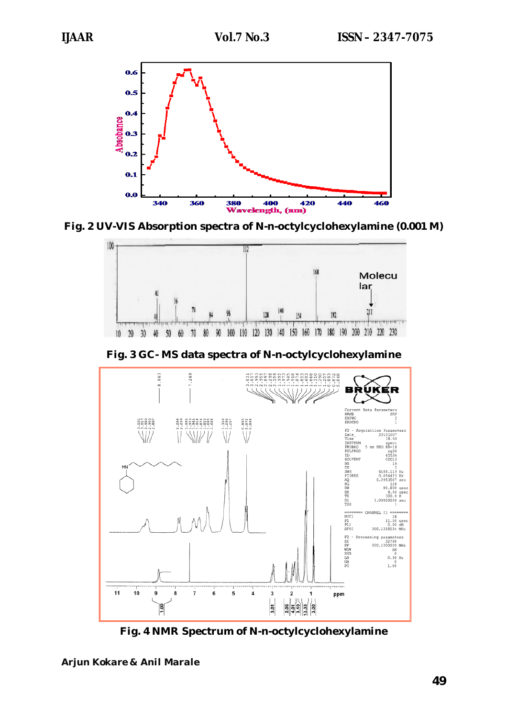

**Fig. 2 UV-VIS Absorption spectra of N-***n-***octylcyclohexylamine (0.001 M)** 



**Fig. 3 GC- MS data spectra of N-***n-***octylcyclohexylamine**



**Fig. 4 NMR Spectrum of N-***n-***octylcyclohexylamine**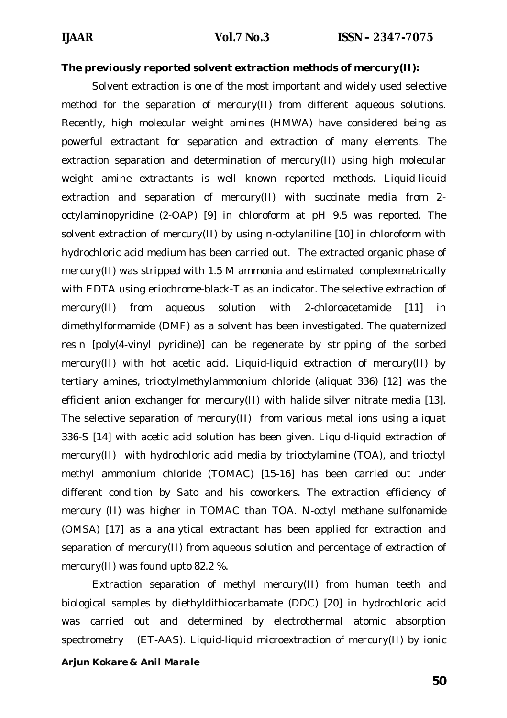#### **The previously reported solvent extraction methods of mercury(II):**

Solvent extraction is one of the most important and widely used selective method for the separation of mercury(II) from different aqueous solutions. Recently, high molecular weight amines (HMWA) have considered being as powerful extractant for separation and extraction of many elements. The extraction separation and determination of mercury(II) using high molecular weight amine extractants is well known reported methods. Liquid-liquid extraction and separation of mercury(II) with succinate media from 2 octylaminopyridine (2-OAP) [9] in chloroform at pH 9.5 was reported. The solvent extraction of mercury(II) by using n-octylaniline [10] in chloroform with hydrochloric acid medium has been carried out. The extracted organic phase of mercury(II) was stripped with 1.5 M ammonia and estimated complexmetrically with EDTA using eriochrome-black-T as an indicator. The selective extraction of mercury(II) from aqueous solution with 2-chloroacetamide [11] in dimethylformamide (DMF) as a solvent has been investigated. The quaternized resin [poly(4-vinyl pyridine)] can be regenerate by stripping of the sorbed mercury(II) with hot acetic acid. Liquid-liquid extraction of mercury(II) by tertiary amines, trioctylmethylammonium chloride (aliquat 336) [12] was the efficient anion exchanger for mercury(II) with halide silver nitrate media [13]. The selective separation of mercury(II) from various metal ions using aliquat 336-S [14] with acetic acid solution has been given. Liquid-liquid extraction of mercury(II) with hydrochloric acid media by trioctylamine (TOA), and trioctyl methyl ammonium chloride (TOMAC) [15-16] has been carried out under different condition by Sato and his coworkers. The extraction efficiency of mercury (II) was higher in TOMAC than TOA. N-octyl methane sulfonamide (OMSA) [17] as a analytical extractant has been applied for extraction and separation of mercury(II) from aqueous solution and percentage of extraction of mercury(II) was found upto 82.2 %.

Extraction separation of methyl mercury(II) from human teeth and biological samples by diethyldithiocarbamate (DDC) [20] in hydrochloric acid was carried out and determined by electrothermal atomic absorption spectrometry (ET-AAS). Liquid-liquid microextraction of mercury(II) by ionic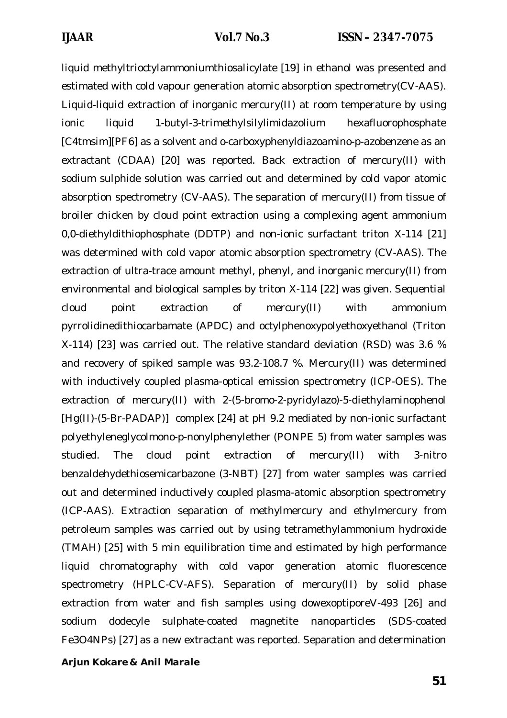liquid methyltrioctylammoniumthiosalicylate [19] in ethanol was presented and estimated with cold vapour generation atomic absorption spectrometry(CV-AAS). Liquid-liquid extraction of inorganic mercury(II) at room temperature by using ionic liquid 1-butyl-3-trimethylsilylimidazolium hexafluorophosphate [C4tmsim][PF6] as a solvent and o-carboxyphenyldiazoamino-p-azobenzene as an extractant (CDAA) [20] was reported. Back extraction of mercury(II) with sodium sulphide solution was carried out and determined by cold vapor atomic absorption spectrometry (CV-AAS). The separation of mercury(II) from tissue of broiler chicken by cloud point extraction using a complexing agent ammonium 0,0-diethyldithiophosphate (DDTP) and non-ionic surfactant triton X-114 [21] was determined with cold vapor atomic absorption spectrometry (CV-AAS). The extraction of ultra-trace amount methyl, phenyl, and inorganic mercury(II) from environmental and biological samples by triton X-114 [22] was given. Sequential cloud point extraction of mercury(II) with ammonium pyrrolidinedithiocarbamate (APDC) and octylphenoxypolyethoxyethanol (Triton X-114) [23] was carried out. The relative standard deviation (RSD) was 3.6 % and recovery of spiked sample was 93.2-108.7 %. Mercury(II) was determined with inductively coupled plasma-optical emission spectrometry (ICP-OES). The extraction of mercury(II) with 2-(5-bromo-2-pyridylazo)-5-diethylaminophenol [Hg(II)-(5-Br-PADAP)] complex [24] at pH 9.2 mediated by non-ionic surfactant polyethyleneglycolmono-p-nonylphenylether (PONPE 5) from water samples was studied. The cloud point extraction of mercury(II) with 3-nitro benzaldehydethiosemicarbazone (3-NBT) [27] from water samples was carried out and determined inductively coupled plasma-atomic absorption spectrometry (ICP-AAS). Extraction separation of methylmercury and ethylmercury from petroleum samples was carried out by using tetramethylammonium hydroxide (TMAH) [25] with 5 min equilibration time and estimated by high performance liquid chromatography with cold vapor generation atomic fluorescence spectrometry (HPLC-CV-AFS). Separation of mercury(II) by solid phase extraction from water and fish samples using dowexoptiporeV-493 [26] and sodium dodecyle sulphate-coated magnetite nanoparticles (SDS-coated Fe3O4NPs) [27] as a new extractant was reported. Separation and determination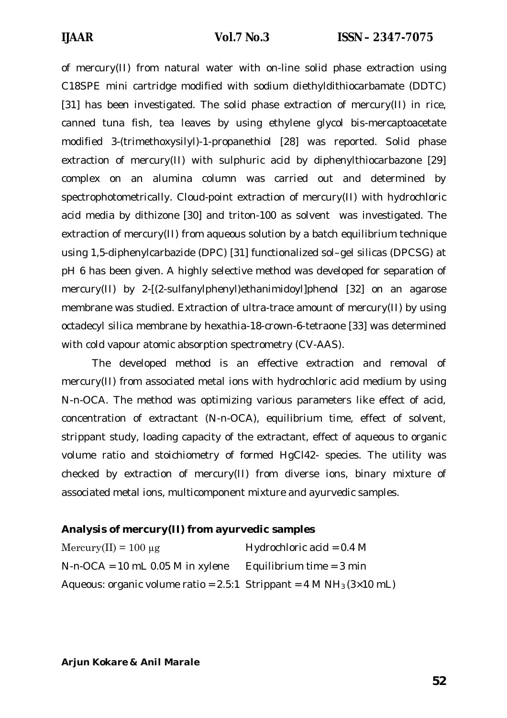of mercury(II) from natural water with on-line solid phase extraction using C18SPE mini cartridge modified with sodium diethyldithiocarbamate (DDTC) [31] has been investigated. The solid phase extraction of mercury(II) in rice, canned tuna fish, tea leaves by using ethylene glycol bis-mercaptoacetate modified 3-(trimethoxysilyl)-1-propanethiol [28] was reported. Solid phase extraction of mercury(II) with sulphuric acid by diphenylthiocarbazone [29] complex on an alumina column was carried out and determined by spectrophotometrically. Cloud-point extraction of mercury(II) with hydrochloric acid media by dithizone [30] and triton-100 as solvent was investigated. The extraction of mercury(II) from aqueous solution by a batch equilibrium technique using 1,5-diphenylcarbazide (DPC) [31] functionalized sol–gel silicas (DPCSG) at pH 6 has been given. A highly selective method was developed for separation of mercury(II) by 2-[(2-sulfanylphenyl)ethanimidoyl]phenol [32] on an agarose membrane was studied. Extraction of ultra-trace amount of mercury(II) by using octadecyl silica membrane by hexathia-18-crown-6-tetraone [33] was determined with cold vapour atomic absorption spectrometry (CV-AAS).

The developed method is an effective extraction and removal of mercury(II) from associated metal ions with hydrochloric acid medium by using N-n-OCA. The method was optimizing various parameters like effect of acid, concentration of extractant (N-n-OCA), equilibrium time, effect of solvent, strippant study, loading capacity of the extractant, effect of aqueous to organic volume ratio and stoichiometry of formed HgCl42- species. The utility was checked by extraction of mercury(II) from diverse ions, binary mixture of associated metal ions, multicomponent mixture and ayurvedic samples.

#### **Analysis of mercury(II) from ayurvedic samples**

| Mercury(II) = $100 \mu$ g                                                      | Hydrochloric acid = $0.4$ M |
|--------------------------------------------------------------------------------|-----------------------------|
| $N - n$ -OCA = 10 mL 0.05 M in xylene                                          | Equilibrium time $=$ 3 min  |
| Aqueous: organic volume ratio = $2.5:1$ Strippant = $4 M NH_3(3 \times 10 mL)$ |                             |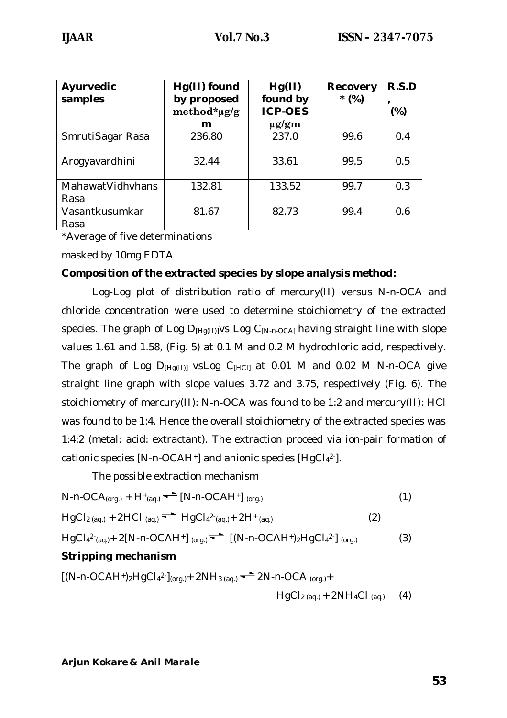| Ayurvedic<br>samples     | Hg(II) found<br>by proposed<br>method*µg/g | Hg(II)<br>found by<br><b>ICP-OES</b> | <b>Recovery</b><br>$*(\%)$ | R.S.D<br>$(\%)$ |
|--------------------------|--------------------------------------------|--------------------------------------|----------------------------|-----------------|
|                          | m                                          | $\mu$ g/gm                           |                            |                 |
| SmrutiSagar Rasa         | 236.80                                     | 237.0                                | 99.6                       | 0.4             |
| Arogyavardhini           | 32.44                                      | 33.61                                | 99.5                       | 0.5             |
| MahawatVidhyhans<br>Rasa | 132.81                                     | 133.52                               | 99.7                       | 0.3             |
| Vasantkusumkar<br>Rasa   | 81.67                                      | 82.73                                | 99.4                       | 0.6             |

\*Average of five determinations

masked by 10mg EDTA

#### **Composition of the extracted species by slope analysis method:**

Log-Log plot of distribution ratio of mercury(II) versus N-*n*-OCA and chloride concentration were used to determine stoichiometry of the extracted species. The graph of Log D<sub>[Hq(II)]</sub>vs Log C<sub>[N-n-OCA]</sub> having straight line with slope values 1.61 and 1.58, (Fig. 5) at 0.1 M and 0.2 M hydrochloric acid, respectively. The graph of Log  $D_{Hg(11)}$  vsLog  $C_{Hg(1)}$  at 0.01 M and 0.02 M N-n-OCA give straight line graph with slope values 3.72 and 3.75, respectively (Fig. 6). The stoichiometry of mercury(II): N-*n*-OCA was found to be 1:2 and mercury(II): HCl was found to be 1:4. Hence the overall stoichiometry of the extracted species was 1:4:2 (metal: acid: extractant). The extraction proceed via ion-pair formation of cationic species [N-*n-*OCAH+] and anionic species [HgCl<sub>4</sub>2-].

The possible extraction mechanism

$$
N-n-OCA_{(org.)} + H^+(aq.) \stackrel{\longrightarrow}{\longrightarrow} [N-n-OCAH^+]_{(org.)}
$$
 (1)

$$
HgCl_{2(aq.)} + 2HCl_{(aq.)} \implies HgCl_{4}^{2}(aq.) + 2H^{+}(aq.)
$$
 (2)

$$
HgCl42(aq1) + 2[N-n-OCAH+] (org1) = [(N-n-OCAH+)2HgCl42](org1)
$$
 (3)

### **Stripping mechanism**

$$
[(N-n-OCAH+)2HgCl42-](org.)+ 2NH3 (aq.) = 2N-n-OCA (org.)+ 11sCl (1) = 2N!1Cl (1) = 1
$$

 $HgCl<sub>2 (aq.)</sub> + 2NH<sub>4</sub>Cl<sub>(aq.)</sub> (4)$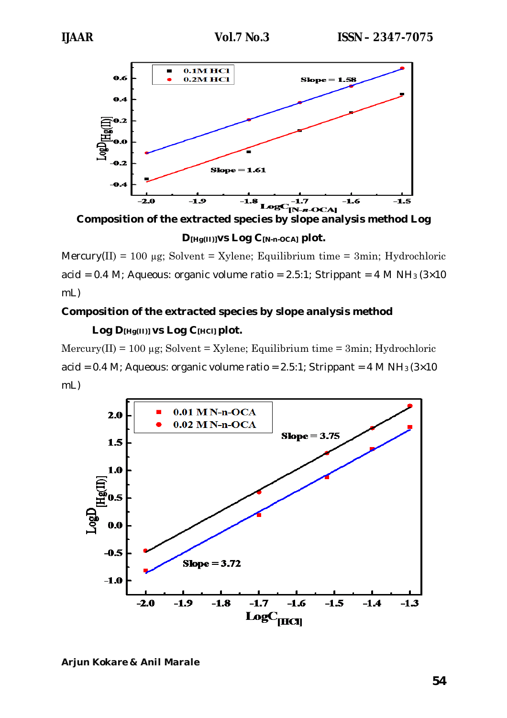

**Composition of the extracted species by slope analysis method Log** 

**D[Hg(II)]vs Log C[N-***n-***OCA] plot.**

Mercury(II) = 100  $\mu$ g; Solvent = Xylene; Equilibrium time = 3min; Hydrochloric acid = 0.4 M; Aqueous: organic volume ratio = 2.5:1; Strippant = 4 M NH<sub>3</sub> ( $3\times10$ ) mL)

# **Composition of the extracted species by slope analysis method Log D[Hg(II)] vs Log C[HCl] plot.**

 $Mercury(II) = 100 \mu g$ ; Solvent = Xylene; Equilibrium time = 3min; Hydrochloric acid = 0.4 M; Aqueous: organic volume ratio =  $2.5:1$ ; Strippant =  $4 M NH<sub>3</sub> (3×10)$ mL)

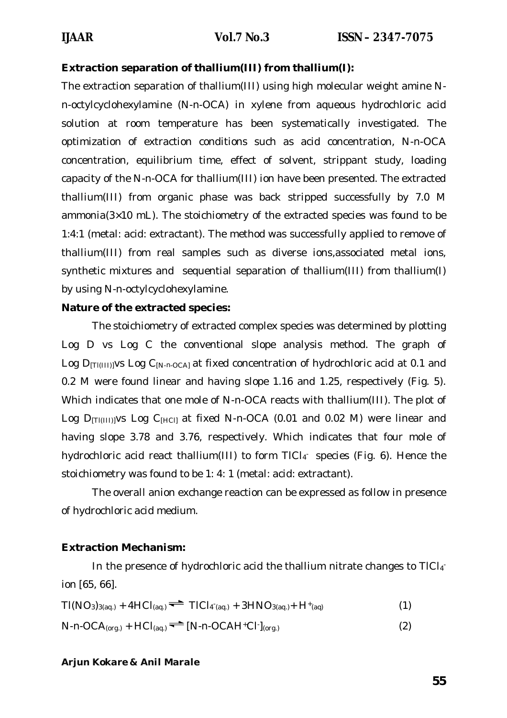#### **Extraction separation of thallium(III) from thallium(I):**

The extraction separation of thallium(III) using high molecular weight amine N*n-*octylcyclohexylamine (N-*n*-OCA) in xylene from aqueous hydrochloric acid solution at room temperature has been systematically investigated. The optimization of extraction conditions such as acid concentration, N-*n*-OCA concentration, equilibrium time, effect of solvent, strippant study, loading capacity of the N-*n*-OCA for thallium(III) ion have been presented. The extracted thallium(III) from organic phase was back stripped successfully by 7.0 M ammonia(3×10 mL). The stoichiometry of the extracted species was found to be 1:4:1 (metal: acid: extractant). The method was successfully applied to remove of thallium(III) from real samples such as diverse ions,associated metal ions, synthetic mixtures and sequential separation of thallium(III) from thallium(I) by using N-*n-*octylcyclohexylamine.

#### **Nature of the extracted species:**

The stoichiometry of extracted complex species was determined by plotting Log D vs Log C the conventional slope analysis method. The graph of Log D<sub>[TI(III)]</sub>vs Log C<sub>[N-*n*-OCA]</sub> at fixed concentration of hydrochloric acid at 0.1 and 0.2 M were found linear and having slope 1.16 and 1.25, respectively (Fig. 5). Which indicates that one mole of N-*n*-OCA reacts with thallium(III). The plot of Log D<sub>[T](III)]</sub>vs Log C<sub>[HC]]</sub> at fixed N-n-OCA (0.01 and 0.02 M) were linear and having slope 3.78 and 3.76, respectively. Which indicates that four mole of hydrochloric acid react thallium(III) to form TICl<sub>4</sub> species (Fig. 6). Hence the stoichiometry was found to be 1: 4: 1 (metal: acid: extractant).

The overall anion exchange reaction can be expressed as follow in presence of hydrochloric acid medium.

### **Extraction Mechanism:**

In the presence of hydrochloric acid the thallium nitrate changes to TICI<sub>4</sub> ion [65, 66].

$$
TI(NO_3)_{3(aq.)} + 4HCl_{(aq.)} \implies TICl_{4(aq.)} + 3HNO_{3(aq.)} + H^+(aq)
$$
 (1)

$$
N \cdot n \cdot OCA_{(org.)} + HCl_{(aq)} \stackrel{\longrightarrow}{\longrightarrow} [N \cdot n \cdot OCAH^+Cl^-(org.)
$$
 (2)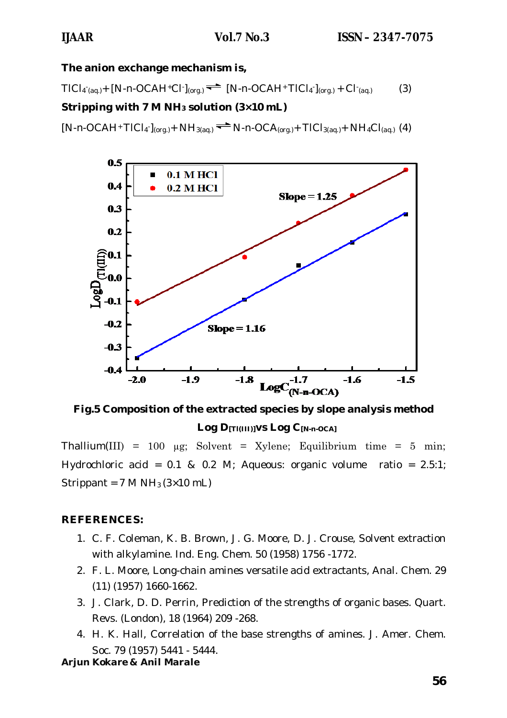**The anion exchange mechanism is,**

 $TICI_{4\text{ (aq.)}} + [N \cdot n \cdot OCAH^+Cl \cdot ]_{(\text{org.)}} \rightleftharpoons [N \cdot n \cdot OCAH^+ TICI_{4}]_{(\text{org.)}} + Cl \cdot_{(\text{aq.)}}$  (3)

### **Stripping with 7 M NH<sup>3</sup> solution (3×10 mL)**

 $[N-n-OCAH^+TICI_4]_{(org.)}$  +  $NH_{3(aq.)}$   $\rightarrow$  N-*n*-OCA<sub>(org.)</sub>+ TICl<sub>3(aq.)</sub>+  $NH_4Cl_{(aq.)}$  (4)



**Fig.5 Composition of the extracted species by slope analysis method Log D[Tl(III)]vs Log C[N-***n***-OCA]**

Thallium(III) = 100  $\mu$ g; Solvent = Xylene; Equilibrium time = 5 min; Hydrochloric acid = 0.1 & 0.2 M; Aqueous: organic volume ratio = 2.5:1; Strippant =  $7 M NH_3 (3 \times 10 mL)$ 

### **REFERENCES:**

- 1. C. F. Coleman, K. B. Brown, J. G. Moore, D. J. Crouse, Solvent extraction with alkylamine. Ind. Eng. Chem. 50 (1958) 1756 -1772.
- 2. F. L. Moore, Long-chain amines versatile acid extractants, Anal. Chem. 29 (11) (1957) 1660-1662.
- 3. J. Clark, D. D. Perrin, Prediction of the strengths of organic bases. Quart. Revs. (London), 18 (1964) 209 -268.
- 4. H. K. Hall, Correlation of the base strengths of amines. J. Amer. Chem. Soc. 79 (1957) 5441 - 5444.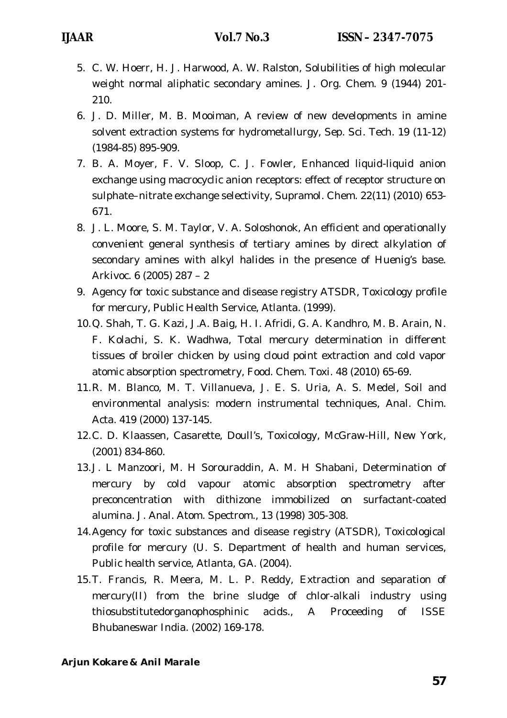- 5. C. W. Hoerr, H. J. Harwood, A. W. Ralston, Solubilities of high molecular weight normal aliphatic secondary amines. J. Org. Chem. 9 (1944) 201- 210.
- 6. J. D. Miller, M. B. Mooiman, A review of new developments in amine solvent extraction systems for hydrometallurgy, Sep. Sci. Tech. 19 (11-12) (1984-85) 895-909.
- 7. B. A. Moyer, F. V. Sloop, C. J. Fowler, Enhanced liquid-liquid anion exchange using macrocyclic anion receptors: effect of receptor structure on sulphate–nitrate exchange selectivity, Supramol. Chem. 22(11) (2010) 653- 671.
- 8. J. L. Moore, S. M. Taylor, V. A. Soloshonok, An efficient and operationally convenient general synthesis of tertiary amines by direct alkylation of secondary amines with alkyl halides in the presence of Huenig's base. Arkivoc. 6 (2005) 287 – 2
- 9. Agency for toxic substance and disease registry ATSDR, Toxicology profile for mercury, Public Health Service, Atlanta. (1999).
- 10.Q. Shah, T. G. Kazi, J.A. Baig, H. I. Afridi, G. A. Kandhro, M. B. Arain, N. F. Kolachi, S. K. Wadhwa, Total mercury determination in different tissues of broiler chicken by using cloud point extraction and cold vapor atomic absorption spectrometry, Food. Chem. Toxi. 48 (2010) 65-69.
- 11.R. M. Blanco, M. T. Villanueva, J. E. S. Uria, A. S. Medel, Soil and environmental analysis: modern instrumental techniques, Anal. Chim. Acta. 419 (2000) 137-145.
- 12.C. D. Klaassen, Casarette, Doull's, Toxicology, McGraw-Hill, New York, (2001) 834-860.
- 13.J. L Manzoori, M. H Sorouraddin, A. M. H Shabani, Determination of mercury by cold vapour atomic absorption spectrometry after preconcentration with dithizone immobilized on surfactant-coated alumina. J. Anal. Atom. Spectrom., 13 (1998) 305-308.
- 14.Agency for toxic substances and disease registry (ATSDR), Toxicological profile for mercury (U. S. Department of health and human services, Public health service, Atlanta, GA. (2004).
- 15.T. Francis, R. Meera, M. L. P. Reddy, Extraction and separation of mercury(II) from the brine sludge of chlor-alkali industry using thiosubstitutedorganophosphinic acids., A Proceeding of ISSE Bhubaneswar India. (2002) 169-178.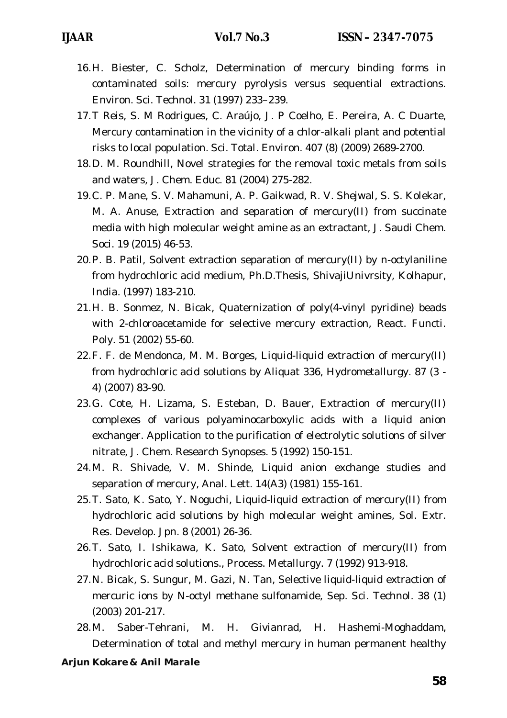- 16.H. Biester, C. Scholz, Determination of mercury binding forms in contaminated soils: mercury pyrolysis versus sequential extractions. Environ. Sci. Technol. 31 (1997) 233–239.
- 17.T Reis, S. M Rodrigues, C. Araújo, J. P Coelho, E. Pereira, A. C Duarte, Mercury contamination in the vicinity of a chlor-alkali plant and potential risks to local population. Sci. Total. Environ. 407 (8) (2009) 2689-2700.
- 18.D. M. Roundhill, Novel strategies for the removal toxic metals from soils and waters, J. Chem. Educ. 81 (2004) 275-282.
- 19.C. P. Mane, S. V. Mahamuni, A. P. Gaikwad, R. V. Shejwal, S. S. Kolekar, M. A. Anuse, Extraction and separation of mercury(II) from succinate media with high molecular weight amine as an extractant, J. Saudi Chem. Soci. 19 (2015) 46-53.
- 20.P. B. Patil, Solvent extraction separation of mercury(II) by n-octylaniline from hydrochloric acid medium, Ph.D.Thesis, ShivajiUnivrsity, Kolhapur, India. (1997) 183-210.
- 21.H. B. Sonmez, N. Bicak, Quaternization of poly(4-vinyl pyridine) beads with 2-chloroacetamide for selective mercury extraction, React. Functi. Poly. 51 (2002) 55-60.
- 22.F. F. de Mendonca, M. M. Borges, Liquid-liquid extraction of mercury(II) from hydrochloric acid solutions by Aliquat 336, Hydrometallurgy. 87 (3 - 4) (2007) 83-90.
- 23.G. Cote, H. Lizama, S. Esteban, D. Bauer, Extraction of mercury(II) complexes of various polyaminocarboxylic acids with a liquid anion exchanger. Application to the purification of electrolytic solutions of silver nitrate, J. Chem. Research Synopses. 5 (1992) 150-151.
- 24.M. R. Shivade, V. M. Shinde, Liquid anion exchange studies and separation of mercury, Anal. Lett. 14(A3) (1981) 155-161.
- 25.T. Sato, K. Sato, Y. Noguchi, Liquid-liquid extraction of mercury(II) from hydrochloric acid solutions by high molecular weight amines, Sol. Extr. Res. Develop. Jpn. 8 (2001) 26-36.
- 26.T. Sato, I. Ishikawa, K. Sato, Solvent extraction of mercury(II) from hydrochloric acid solutions., Process. Metallurgy. 7 (1992) 913-918.
- 27.N. Bicak, S. Sungur, M. Gazi, N. Tan, Selective liquid-liquid extraction of mercuric ions by N-octyl methane sulfonamide, Sep. Sci. Technol. 38 (1) (2003) 201-217.
- 28.M. Saber-Tehrani, M. H. Givianrad, H. Hashemi-Moghaddam, Determination of total and methyl mercury in human permanent healthy